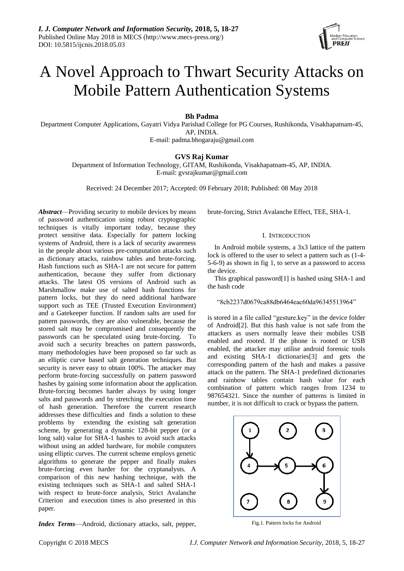

# A Novel Approach to Thwart Security Attacks on Mobile Pattern Authentication Systems

# **Bh Padma**

Department Computer Applications, Gayatri Vidya Parishad College for PG Courses, Rushikonda, Visakhapatnam-45, AP, INDIA.

E-mail: padma.bhogaraju@gmail.com

# **GVS Raj Kumar**

Department of Information Technology, GITAM, Rushikonda, Visakhapatnam-45, AP, INDIA. E-mail: gvsrajkumar@gmail.com

Received: 24 December 2017; Accepted: 09 February 2018; Published: 08 May 2018

*Abstract*—Providing security to mobile devices by means of password authentication using robust cryptographic techniques is vitally important today, because they protect sensitive data. Especially for pattern locking systems of Android, there is a lack of security awareness in the people about various pre-computation attacks such as dictionary attacks, rainbow tables and brute-forcing. Hash functions such as SHA-1 are not secure for pattern authentication, because they suffer from dictionary attacks. The latest OS versions of Android such as Marshmallow make use of salted hash functions for pattern locks, but they do need additional hardware support such as TEE (Trusted Execution Environment) and a Gatekeeper function. If random salts are used for pattern passwords, they are also vulnerable, because the stored salt may be compromised and consequently the passwords can be speculated using brute-forcing. To avoid such a security breaches on pattern passwords, many methodologies have been proposed so far such as an elliptic curve based salt generation techniques. But security is never easy to obtain 100%. The attacker may perform brute-forcing successfully on pattern password hashes by gaining some information about the application. Brute-forcing becomes harder always by using longer salts and passwords and by stretching the execution time of hash generation. Therefore the current research addresses these difficulties and finds a solution to these problems by extending the existing salt generation scheme, by generating a dynamic 128-bit pepper (or a long salt) value for SHA-1 hashes to avoid such attacks without using an added hardware, for mobile computers using elliptic curves. The current scheme employs genetic algorithms to generate the pepper and finally makes brute-forcing even harder for the cryptanalysts. A comparison of this new hashing technique, with the existing techniques such as SHA-1 and salted SHA-1 with respect to brute-force analysis, Strict Avalanche Criterion and execution times is also presented in this paper.

*Index Terms*—Android, dictionary attacks, salt, pepper,

brute-forcing, Strict Avalanche Effect, TEE, SHA-1.

## I. INTRODUCTION

In Android mobile systems, a 3x3 lattice of the pattern lock is offered to the user to select a pattern such as (1-4- 5-6-9) as shown in fig 1, to serve as a password to access the device.

This graphical password[1] is hashed using SHA-1 and the hash code

# "8cb2237d0679ca88db6464eac60da96345513964"

is stored in a file called "gesture.key" in the device folder of Android[2]. But this hash value is not safe from the attackers as users normally leave their mobiles USB enabled and rooted. If the phone is rooted or USB enabled, the attacker may utilise android forensic tools and existing SHA-1 dictionaries[3] and gets the corresponding pattern of the hash and makes a passive attack on the pattern. The SHA-1 predefined dictionaries and rainbow tables contain hash value for each combination of pattern which ranges from 1234 to 987654321. Since the number of patterns is limited in number, it is not difficult to crack or bypass the pattern.



Fig.1. Pattern locks for Android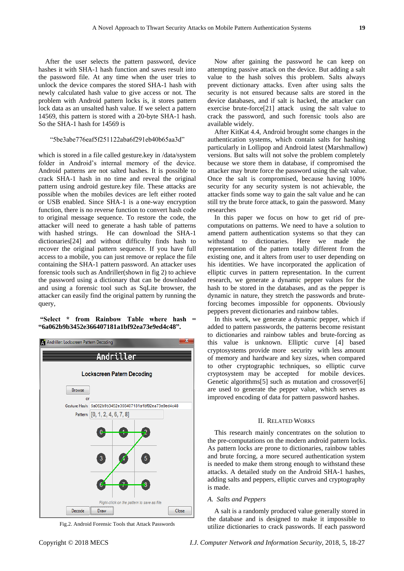After the user selects the pattern password, device hashes it with SHA-1 hash function and saves result into the password file. At any time when the user tries to unlock the device compares the stored SHA-1 hash with newly calculated hash value to give access or not. The problem with Android pattern locks is, it stores pattern lock data as an unsalted hash value. If we select a pattern 14569, this pattern is stored with a 20-byte SHA-1 hash. So the SHA-1 hash for 14569 is

"5be3abe776eaf5f251122aba6f291eb40b65aa3d"

which is stored in a file called gesture.key in /data/system folder in Android's internal memory of the device. Android patterns are not salted hashes. It is possible to crack SHA-1 hash in no time and reveal the original pattern using android gesture.key file. These attacks are possible when the mobiles devices are left either rooted or USB enabled. Since SHA-1 is a one-way encryption function, there is no reverse function to convert hash code to original message sequence. To restore the code, the attacker will need to generate a hash table of patterns with hashed strings. He can download the SHA-1 dictionaries[24] and without difficulty finds hash to recover the original pattern sequence. If you have full access to a mobile, you can just remove or replace the file containing the SHA-1 pattern password. An attacker uses forensic tools such as Andriller(shown in fig 2) to achieve the password using a dictionary that can be downloaded and using a forensic tool such as SqLite browser, the attacker can easily find the original pattern by running the query,

**"Select \* from Rainbow Table where hash = "6a062b9b3452e366407181a1bf92ea73e9ed4c48".**



Fig.2. Android Forensic Tools that Attack Passwords

Now after gaining the password he can keep on attempting passive attack on the device. But adding a salt value to the hash solves this problem. Salts always prevent dictionary attacks. Even after using salts the security is not ensured because salts are stored in the device databases, and if salt is hacked, the attacker can exercise brute-force[21] attack using the salt value to crack the password, and such forensic tools also are available widely.

After KitKat 4.4, Android brought some changes in the authentication systems, which contain salts for hashing particularly in Lollipop and Android latest (Marshmallow) versions. But salts will not solve the problem completely because we store them in database, if compromised the attacker may brute force the password using the salt value. Once the salt is compromised, because having 100% security for any security system is not achievable, the attacker finds some way to gain the salt value and he can still try the brute force attack, to gain the password. Many researches

In this paper we focus on how to get rid of precomputations on patterns. We need to have a solution to amend pattern authentication systems so that they can withstand to dictionaries. Here we made the representation of the pattern totally different from the existing one, and it alters from user to user depending on his identities. We have incorporated the application of elliptic curves in pattern representation. In the current research, we generate a dynamic pepper values for the hash to be stored in the databases, and as the pepper is dynamic in nature, they stretch the passwords and bruteforcing becomes impossible for opponents. Obviously peppers prevent dictionaries and rainbow tables.

In this work, we generate a dynamic pepper, which if added to pattern passwords, the patterns become resistant to dictionaries and rainbow tables and brute-forcing as this value is unknown. Elliptic curve [4] based cryptosystems provide more security with less amount of memory and hardware and key sizes, when compared to other cryptographic techniques, so elliptic curve cryptosystem may be accepted for mobile devices. Genetic algorithms[5] such as mutation and crossover[6] are used to generate the pepper value, which serves as improved encoding of data for pattern password hashes.

# II. RELATED WORKS

This research mainly concentrates on the solution to the pre-computations on the modern android pattern locks. As pattern locks are prone to dictionaries, rainbow tables and brute forcing, a more secured authentication system is needed to make them strong enough to withstand these attacks. A detailed study on the Android SHA-1 hashes, adding salts and peppers, elliptic curves and cryptography is made.

## *A. Salts and Peppers*

A salt is a randomly produced value generally stored in the database and is designed to make it impossible to utilize dictionaries to crack passwords. If each password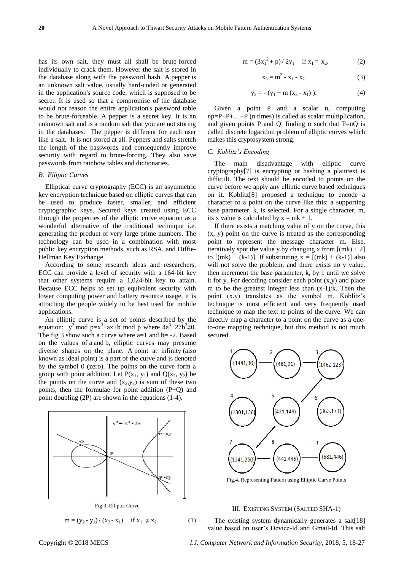has its own salt, they must all shall be brute-forced individually to crack them. However the salt is stored in the database along with the password hash. A pepper is an unknown salt value, usually hard-coded or generated in the application's source code, which is supposed to be secret. It is used so that a compromise of the database would not reason the entire application's password table to be brute-forceable. A pepper is a secret key. It is an unknown salt and is a random salt that you are not storing in the databases. The pepper is different for each user like a salt. It is not stored at all. Peppers and salts stretch the length of the passwords and consequently improve security with regard to brute-forcing. They also save passwords from rainbow tables and dictionaries.

## *B. Elliptic Curves*

Elliptical curve cryptography (ECC) is an asymmetric key encryption technique based on elliptic curves that can be used to produce faster, smaller, and efficient cryptographic keys. Secured keys created using ECC through the properties of the elliptic curve equation as a wonderful alternative of the traditional technique i.e. generating the product of very large prime numbers. The technology can be used in a combination with most public key encryption methods, such as RSA, and Diffie-Hellman Key Exchange.

According to some research ideas and researchers, ECC can provide a level of security with a 164-bit key that other systems require a 1,024-bit key to attain. Because ECC helps to set up equivalent security with lower computing power and battery resource usage, it is attracting the people widely to be best used for mobile applications.

An elliptic curve is a set of points described by the equation:  $y^2$  mod  $p=x^3+ax+b$  mod p where  $4a^3+27b^2 \neq 0$ . The fig 3 show such a curve where  $a=1$  and  $b=-2$ . Based on the values of a and b, elliptic curves may presume diverse shapes on the plane. A [point at infinity](https://en.wikipedia.org/wiki/Point_at_infinity) (also known as ideal point) is a part of the curve and is denoted by the symbol 0 (zero). The points on the curve form a group with point addition. Let  $P(x_1, y_1)$  and  $Q(x_2, y_2)$  be the points on the curve and  $(x_3, y_3)$  is sum of these two points, then the formulae for point addition (P+Q) and point doubling (2P) are shown in the equations (1-4).



Fig.3. Elliptic Curve

$$
m = (y_2 - y_1) / (x_2 - x_1)
$$
 if  $x_1 \neq x_2$ .

(1)

$$
m = (3x_1^2 + p)/2y_1 \quad \text{if } x_1 = x_2. \tag{2}
$$

$$
x_3 = m^2 - x_1 - x_2 \tag{3}
$$

$$
y_3 = - (y_1 + m (x_3 - x_1)). \tag{4}
$$

Given a point P and a scalar n, computing  $np = P + P + \ldots + P$  (n times) is called as scalar multiplication, and given points P and Q, finding n such that  $P=nQ$  is called discrete logarithm problem of elliptic curves which makes this cryptosystem strong.

#### *C. Koblitz's Encoding*

The main disadvantage with elliptic curve cryptography[7] is encrypting or hashing a plaintext is difficult. The text should be encoded to points on the curve before we apply any elliptic curve based techniques on it. Koblitz[8] proposed a technique to encode a character to a point on the curve like this: a supporting base parameter, k, is selected. For a single character, m, its x value is calculated by  $x = mk + 1$ .

If there exists a matching value of y on the curve, this (x, y) point on the curve is treated as the corresponding point to represent the message character m. Else, iteratively spot the value y by changing x from  $[(mk) + 2]$ to  $[(mk) + (k-1)]$ . If substituting  $x = [(mk) + (k-1)]$  also will not solve the problem, and there exists no y value, then increment the base parameter, k, by 1 until we solve it for y. For decoding consider each point  $(x,y)$  and place m to be the greatest integer less than (x-1)/k. Then the point (x,y) translates as the symbol m. Koblitz's technique is most efficient and very frequently used technique to map the text to points of the curve. We can directly map a character to a point on the curve as a oneto-one mapping technique, but this method is not much secured.



Fig.4. Representing Pattern using Elliptic Curve Points

### III. EXISTING SYSTEM (SALTED SHA-1)

The existing system dynamically generates a salt[18] value based on user's Device-Id and Gmail-Id. This salt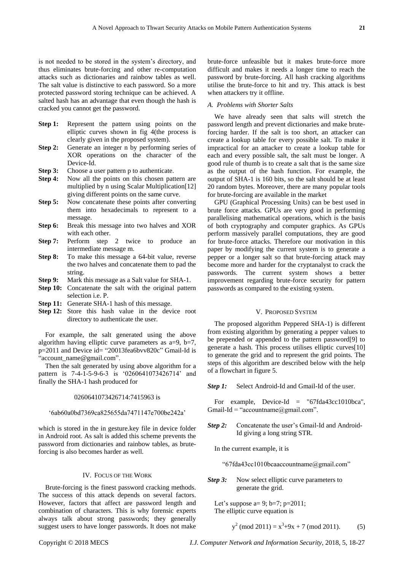is not needed to be stored in the system's directory, and thus eliminates brute-forcing and other re-computation attacks such as dictionaries and rainbow tables as well. The salt value is distinctive to each password. So a more protected password storing technique can be achieved. A salted hash has an advantage that even though the hash is cracked you cannot get the password.

- **Step 1:** Represent the pattern using points on the elliptic curves shown in fig 4(the process is clearly given in the proposed system).
- **Step 2:** Generate an integer n by performing series of XOR operations on the character of the Device-Id.
- **Step 3:** Choose a user pattern p to authenticate.
- **Step 4:** Now all the points on this chosen pattern are multiplied by n using Scalar Multiplication[12] giving different points on the same curve.
- **Step 5:** Now concatenate these points after converting them into hexadecimals to represent to a message.
- **Step 6:** Break this message into two halves and XOR with each other.
- **Step 7:** Perform step 2 twice to produce an intermediate message m.
- **Step 8:** To make this message a 64-bit value, reverse the two halves and concatenate them to pad the string.
- **Step 9:** Mark this message as a Salt value for SHA-1.
- **Step 10:** Concatenate the salt with the original pattern selection i.e. P.
- **Step 11:** Generate SHA-1 hash of this message.
- **Step 12:** Store this hash value in the device root directory to authenticate the user.

For example, the salt generated using the above algorithm having elliptic curve parameters as  $a=9$ ,  $b=7$ , p=2011 and Device id= "20013fea6bvv820c" Gmail-Id is ["account\\_name@gmail.com"](mailto:account_name@gmail.com).

Then the salt generated by using above algorithm for a pattern is 7-4-1-5-9-6-3 is '0260641073426714' and finally the SHA-1 hash produced for

## 0260641073426714:7415963 is

#### '6ab60a0bd7369ca825655da7471147e700be242a'

which is stored in the in gesture.key file in device folder in Android root. As salt is added this scheme prevents the password from dictionaries and rainbow tables, as bruteforcing is also becomes harder as well.

## IV. FOCUS OF THE WORK

Brute-forcing is the finest password cracking methods. The success of this attack depends on several factors. However, factors that affect are password length and combination of characters. This is why forensic experts always talk about strong passwords; they generally suggest users to have longer passwords. It does not make brute-force unfeasible but it makes brute-force more difficult and makes it needs a longer time to reach the password by brute-forcing. All hash cracking algorithms utilise the brute-force to hit and try. This attack is best when attackers try it offline.

## *A. Problems with Shorter Salts*

We have already seen that salts will stretch the password length and prevent dictionaries and make bruteforcing harder. If the salt is too short, an attacker can create a lookup table for every possible salt. To make it impractical for an attacker to create a lookup table for each and every possible salt, the salt must be longer. A good rule of thumb is to create a salt that is the same size as the output of the hash function. For example, the output of SHA-1 is 160 bits, so the salt should be at least 20 random bytes. Moreover, there are many popular tools for brute-forcing are available in the market

GPU (Graphical Processing Units) can be best used in brute force attacks. GPUs are very good in performing parallelising mathematical operations, which is the basis of both cryptography and computer graphics. As GPUs perform massively parallel computations, they are good for brute-force attacks. Therefore our motivation in this paper by modifying the current system is to generate a pepper or a longer salt so that brute-forcing attack may become more and harder for the cryptanalyst to crack the passwords. The current system shows a better improvement regarding brute-force security for pattern passwords as compared to the existing system.

## V. PROPOSED SYSTEM

The proposed algorithm Peppered SHA-1) is different from existing algorithm by generating a pepper values to be prepended or appended to the pattern password[9] to generate a hash. This process utilises elliptic curves[10] to generate the grid and to represent the grid points. The steps of this algorithm are described below with the help of a flowchart in figure 5.

*Step 1:* Select Android-Id and Gmail-Id of the user.

For example, Device-Id = "67fda43cc1010bca", Gmail-Id = "accountname@gmail.com".

- **Step 2:** Concatenate the user's Gmail-Id and Android-Id giving a long string STR.
	- In the current example, it is

"67fda43cc1010bcaaccountname@gmail.com"

*Step 3:* Now select elliptic curve parameters to generate the grid.

Let's suppose a= 9; b=7; p=2011; The elliptic curve equation is

$$
y2 (mod 2011) = x3+9x + 7 (mod 2011).
$$
 (5)

Copyright © 2018 MECS *I.J. Computer Network and Information Security*, 2018, 5, 18-27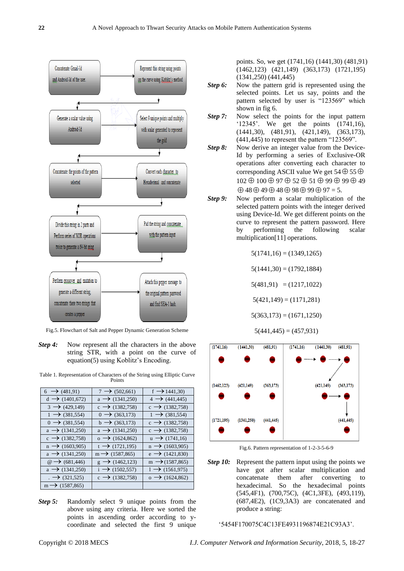

Fig.5. Flowchart of Salt and Pepper Dynamic Generation Scheme

*Step 4:* Now represent all the characters in the above string STR, with a point on the curve of equation(5) using Koblitz's Encoding.

|  | Table 1. Representation of Characters of the String using Elliptic Curve |        |  |  |  |
|--|--------------------------------------------------------------------------|--------|--|--|--|
|  |                                                                          | Points |  |  |  |

| $6 \rightarrow (481,91)$    | $7 \rightarrow (502,661)$     | $f \rightarrow 1441,30$      |
|-----------------------------|-------------------------------|------------------------------|
| $d \rightarrow (1401,672)$  | $a \rightarrow (1341,250)$    | $4 \rightarrow (441, 445)$   |
| $3 \rightarrow (429, 149)$  | $c \rightarrow (1382, 758)$   | $c \rightarrow (1382, 758)$  |
| $1 \rightarrow (381, 554)$  | $0 \rightarrow (363,173)$     | $1 \rightarrow (381, 554)$   |
| $0 \rightarrow (381, 554)$  | $b \rightarrow (363,173)$     | $c \rightarrow (1382, 758)$  |
| $a \rightarrow (1341,250)$  | $a \rightarrow (1341,250)$    | $c \rightarrow (1382, 758)$  |
| $c \rightarrow (1382, 758)$ | $_0 \rightarrow (1624, 862)$  | $u \rightarrow (1741,16)$    |
| $n \rightarrow (1603,905)$  | $t \rightarrow (1721, 195)$   | $n \rightarrow (1603,905)$   |
| $a \rightarrow (1341,250)$  | $m \rightarrow (1587, 865)$   | $e \rightarrow (1421,830)$   |
| @→ (681,446)                | $\rightarrow$ (1462,123)<br>g | $m \rightarrow (1587, 865)$  |
| $a \rightarrow (1341,250)$  | $i \rightarrow (1502, 557)$   | $1 \rightarrow (1561, 975)$  |
| $\rightarrow$ (321,525)     | $c \rightarrow (1382, 758)$   | $_0 \rightarrow (1624, 862)$ |
| $m \rightarrow (1587, 865)$ |                               |                              |

*Step 5:* Randomly select 9 unique points from the above using any criteria. Here we sorted the points in ascending order according to ycoordinate and selected the first 9 unique

points. So, we get (1741,16) (1441,30) (481,91) (1462,123) (421,149) (363,173) (1721,195) (1341,250) (441,445)

- **Step 6:** Now the pattern grid is represented using the selected points. Let us say, points and the pattern selected by user is "123569" which shown in fig 6.
- *Step 7:* Now select the points for the input pattern '12345'. We get the points (1741,16), (1441,30), (481,91), (421,149), (363,173), (441,445) to represent the pattern "123569".
- *Step 8:* Now derive an integer value from the Device-Id by performing a series of Exclusive-OR operations after converting each character to corresponding ASCII value We get 54  $\oplus$  55  $\oplus$  $102 \oplus 100 \oplus 97 \oplus 52 \oplus 51 \oplus 99 \oplus 99 \oplus 49$  $\oplus$  48  $\oplus$  49  $\oplus$  48  $\oplus$  98  $\oplus$  99  $\oplus$  97 = 5.
- *Step 9:* Now perform a scalar multiplication of the selected pattern points with the integer derived using Device-Id. We get different points on the curve to represent the pattern password. Here by performing the following scalar multiplication[11] operations.

 $5(1741,16) = (1349,1265)$ 

 $5(1441,30) = (1792,1884)$ 

 $5(481,91) = (1217,1022)$ 

 $5(421,149) = (1171,281)$ 

 $5(363,173) = (1671,1250)$ 

 $5(441, 445) = (457, 931)$ 



Fig.6. Pattern representation of 1-2-3-5-6-9

*Step 10:* Represent the pattern input using the points we have got after scalar multiplication and concatenate them after converting to hexadecimal. So the hexadecimal points (545,4F1), (700,75C), (4C1,3FE), (493,119), (687,4E2), (1C9,3A3) are concatenated and produce a string:

'5454F170075C4C13FE4931196874E21C93A3'.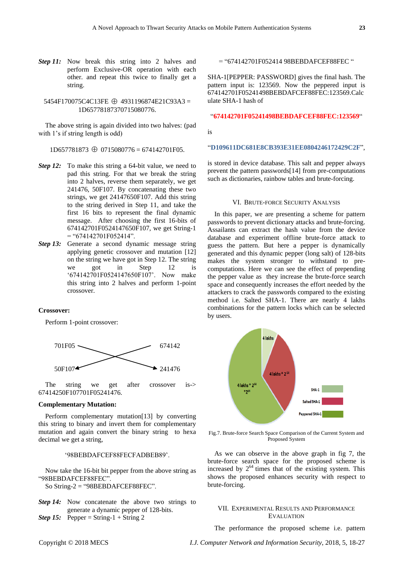**Step 11:** Now break this string into 2 halves and perform Exclusive-OR operation with each other. and repeat this twice to finally get a string.

# 5454F170075C4C13FE 4931196874E21C93A3 = 1D65778187370715080776.

The above string is again divided into two halves: (pad with 1's if string length is odd)

# 1D657781873 0715080776 = 674142701F05.

- *Step 12:* To make this string a 64-bit value, we need to pad this string. For that we break the string into 2 halves, reverse them separately, we get 241476, 50F107. By concatenating these two strings, we get 24147650F107. Add this string to the string derived in Step 11, and take the first 16 bits to represent the final dynamic message. After choosing the first 16-bits of 674142701F0524147650F107, we get String-1  $=$  "674142701F052414".
- *Step 13:* Generate a second dynamic message string applying genetic crossover and mutation [12] on the string we have got in Step 12. The string we got in Step 12 is '674142701F0524147650F107'. Now make this string into 2 halves and perform 1-point crossover.

## **Crossover:**

Perform 1-point crossover:



The string we get after crossover is-> 67414250F107701F05241476.

### **Complementary Mutation:**

Perform complementary mutation[13] by converting this string to binary and invert them for complementary mutation and again convert the binary string to hexa decimal we get a string,

## '98BEBDAFCEF88FECFADBEB89'.

Now take the 16-bit bit pepper from the above string as "98BEBDAFCEF88FEC".

So String-2 = "98BEBDAFCEF88FEC".

- *Step 14:* Now concatenate the above two strings to generate a dynamic pepper of 128-bits.
- *Step 15:* Pepper = String-1 + String 2

= "674142701F052414 98BEBDAFCEF88FEC "

SHA-1[PEPPER: PASSWORD] gives the final hash. The pattern input is: 123569. Now the peppered input is 674142701F05241498BEBDAFCEF88FEC:123569.Calc ulate SHA-1 hash of

## "**674142701F05241498BEBDAFCEF88FEC:123569**"

is

## "**D109611DC681E8CB393E31EE0804246172429C2F**",

is stored in device database. This salt and pepper always prevent the pattern passwords[14] from pre-computations such as dictionaries, rainbow tables and brute-forcing.

### VI. BRUTE-FORCE SECURITY ANALYSIS

In this paper, we are presenting a scheme for pattern passwords to prevent dictionary attacks and brute-forcing. Assailants can extract the hash value from the device database and experiment offline brute-force attack to guess the pattern. But here a pepper is dynamically generated and this dynamic pepper (long salt) of 128-bits makes the system stronger to withstand to precomputations. Here we can see the effect of prepending the pepper value as they increase the brute-force search space and consequently increases the effort needed by the attackers to crack the passwords compared to the existing method i.e. Salted SHA-1. There are nearly 4 lakhs combinations for the pattern locks which can be selected by users.



Fig.7. Brute-force Search Space Comparison of the Current System and Proposed System

As we can observe in the above graph in fig 7, the brute-force search space for the proposed scheme is increased by  $2^{64}$  times that of the existing system. This shows the proposed enhances security with respect to brute-forcing.

# VII. EXPERIMENTAL RESULTS AND PERFORMANCE EVALUATION

The performance the proposed scheme i.e. pattern

Copyright © 2018 MECS *I.J. Computer Network and Information Security*, 2018, 5, 18-27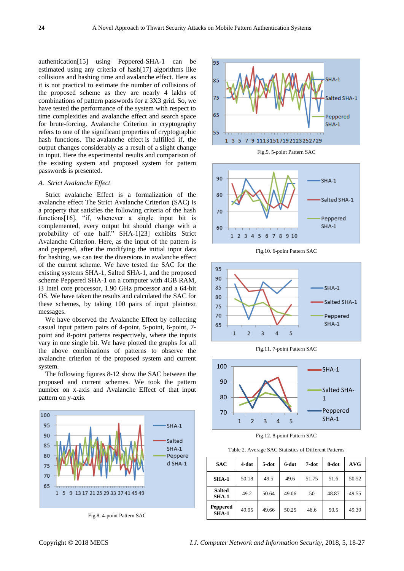authentication[15] using Peppered-SHA-1 can be estimated using any criteria of hash[17] algorithms like collisions and hashing time and avalanche effect. Here as it is not practical to estimate the number of collisions of the proposed scheme as they are nearly 4 lakhs of combinations of pattern passwords for a 3X3 grid. So, we have tested the performance of the system with respect to time complexities and avalanche effect and search space for brute-forcing. Avalanche Criterion in cryptography refers to one of the significant properties of cryptographic hash functions. The avalanche effect is fulfilled if, the output changes considerably as a result of a slight change in input. Here the experimental results and comparison of the existing system and proposed system for pattern passwords is presented.

## *A. Strict Avalanche Effect*

Strict avalanche Effect is a formalization of the avalanche effect The Strict Avalanche Criterion (SAC) is a property that satisfies the following criteria of the hash functions[16], "if, whenever a single input bit is complemented, every output bit should change with a probability of one half." SHA-1[23] exhibits Strict Avalanche Criterion. Here, as the input of the pattern is and peppered, after the modifying the initial input data for hashing, we can test the diversions in avalanche effect of the current scheme. We have tested the SAC for the existing systems SHA-1, Salted SHA-1, and the proposed scheme Peppered SHA-1 on a computer with 4GB RAM, i3 Intel core processor, 1.90 GHz processor and a 64-bit OS. We have taken the results and calculated the SAC for these schemes, by taking 100 pairs of input plaintext messages.

We have observed the Avalanche Effect by collecting casual input pattern pairs of 4-point, 5-point, 6-point, 7 point and 8-point patterns respectively, where the inputs vary in one single bit. We have plotted the graphs for all the above combinations of patterns to observe the avalanche criterion of the proposed system and current system.

The following figures 8-12 show the SAC between the proposed and current schemes. We took the pattern number on x-axis and Avalanche Effect of that input pattern on y-axis.



Fig.8. 4-point Pattern SAC





Fig.10. 6-point Pattern SAC







Fig.12. 8-point Pattern SAC

Table 2. Average SAC Statistics of Different Patterns

| <b>SAC</b>               | 4-dot | 5-dot | 6-dot | 7-dot | 8-dot | AVG   |
|--------------------------|-------|-------|-------|-------|-------|-------|
| $SHA-1$                  | 50.18 | 49.5  | 49.6  | 51.75 | 51.6  | 50.52 |
| <b>Salted</b><br>$SHA-1$ | 49.2  | 50.64 | 49.06 | 50    | 48.87 | 49.55 |
| Peppered<br>$SHA-1$      | 49.95 | 49.66 | 50.25 | 46.6  | 50.5  | 49.39 |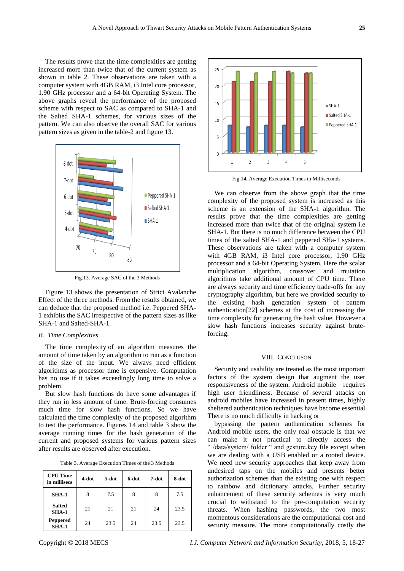The results prove that the time complexities are getting increased more than twice that of the current system as shown in table 2. These observations are taken with a computer system with 4GB RAM, i3 Intel core processor, 1.90 GHz processor and a 64-bit Operating System. The above graphs reveal the performance of the proposed scheme with respect to SAC as compared to SHA-1 and the Salted SHA-1 schemes, for various sizes of the pattern. We can also observe the overall SAC for various pattern sizes as given in the table-2 and figure 13.



Fig.13. Average SAC of the 3 Methods

Figure 13 shows the presentation of Strict Avalanche Effect of the three methods. From the results obtained, we can deduce that the proposed method i.e. Peppered SHA-1 exhibits the SAC irrespective of the pattern sizes as like SHA-1 and Salted-SHA-1.

# *B. Time Complexities*

The time complexity of an algorithm measures the amount of time taken by an algorithm to run as a function of the size of the input. We always need efficient algorithms as processor time is expensive. Computation has no use if it takes exceedingly long time to solve a problem.

But slow hash functions do have some advantages if they run in less amount of time. Brute-forcing consumes much time for slow hash functions. So we have calculated the time complexity of the proposed algorithm to test the performance. Figures 14 and table 3 show the average running times for the hash generation of the current and proposed systems for various pattern sizes after results are observed after execution.

Table 3. Average Execution Times of the 3 Methods

| <b>CPU Time</b><br>in millisecs | 4-dot | 5-dot | 6-dot | 7-dot | 8-dot |  |
|---------------------------------|-------|-------|-------|-------|-------|--|
| $SHA-1$                         | 8     | 7.5   | 8     | 8     | 7.5   |  |
| <b>Salted</b><br>$SHA-1$        | 21    | 21    | 21    | 24    | 23.5  |  |
| Peppered<br>$SHA-1$             | 24    | 23.5  | 24    | 23.5  | 23.5  |  |



Fig.14. Average Execution Times in Milliseconds

We can observe from the above graph that the time complexity of the proposed system is increased as this scheme is an extension of the SHA-1 algorithm. The results prove that the time complexities are getting increased more than twice that of the original system i.e SHA-1. But there is no much difference between the CPU times of the salted SHA-1 and peppered SHa-1 systems. These observations are taken with a computer system with 4GB RAM, i3 Intel core processor, 1.90 GHz processor and a 64-bit Operating System. Here the scalar multiplication algorithm, crossover and mutation algorithms take additional amount of CPU time. There are always security and time efficiency trade-offs for any cryptography algorithm, but here we provided security to the existing hash generation system of pattern authentication[22] schemes at the cost of increasing the time complexity for generating the hash value. However a slow hash functions increases security against bruteforcing.

## VIII. CONCLUSON

Security and usability are treated as the most important factors of the system design that augment the user responsiveness of the system. Android mobile requires high user friendliness. Because of several attacks on android mobiles have increased in present times, highly sheltered authentication techniques have become essential. There is no much difficulty in hacking or

bypassing the pattern authentication schemes for Android mobile users, the only real obstacle is that we can make it not practical to directly access the " /data/system/ folder " and gesture.key file except when we are dealing with a USB enabled or a rooted device. We need new security approaches that keep away from undesired taps on the mobiles and presents better authorization schemes than the existing one with respect to rainbow and dictionary attacks. Further security enhancement of these security schemes is very much crucial to withstand to the pre-computation security threats. When hashing passwords, the two most momentous considerations are the computational cost and security measure. The more computationally costly the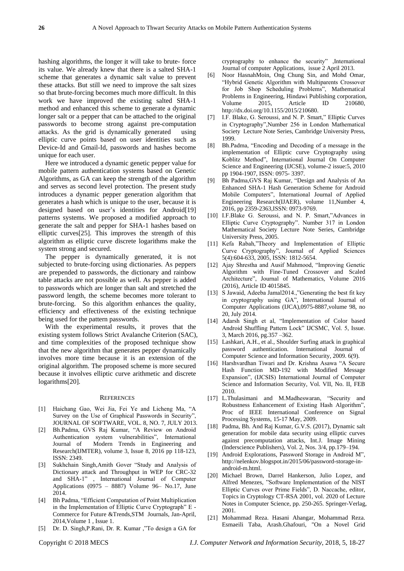hashing algorithms, the longer it will take to brute- force its value. We already knew that there is a salted SHA-1 scheme that generates a dynamic salt value to prevent these attacks. But still we need to improve the salt sizes so that brute-forcing becomes much more difficult. In this work we have improved the existing salted SHA-1 method and enhanced this scheme to generate a dynamic longer salt or a pepper that can be attached to the original passwords to become strong against pre-computation attacks. As the grid is dynamically generated using elliptic curve points based on user identities such as Device-Id and Gmail-Id, passwords and hashes become unique for each user.

Here we introduced a dynamic genetic pepper value for mobile pattern authentication systems based on Genetic Algorithms, as GA can keep the strength of the algorithm and serves as second level protection. The present study introduces a dynamic pepper generation algorithm that generates a hash which is unique to the user, because it is designed based on user's identities for Android[19] patterns systems. We proposed a modified approach to generate the salt and pepper for SHA-1 hashes based on elliptic curves[25]. This improves the strength of this algorithm as elliptic curve discrete logarithms make the system strong and secured.

The pepper is dynamically generated, it is not subjected to brute-forcing using dictionaries. As peppers are prepended to passwords, the dictionary and rainbow table attacks are not possible as well. As pepper is added to passwords which are longer than salt and stretched the password length, the scheme becomes more tolerant to brute-forcing. So this algorithm enhances the quality, efficiency and effectiveness of the existing technique being used for the pattern passwords.

With the experimental results, it proves that the existing system follows Strict Avalanche Criterion (SAC), and time complexities of the proposed technique show that the new algorithm that generates pepper dynamically involves more time because it is an extension of the original algorithm. The proposed scheme is more secured because it involves elliptic curve arithmetic and discrete logarithms[20].

#### **REFERENCES**

- [1] Haichang Gao, Wei Jia, Fei Ye and Licheng Ma, "A Survey on the Use of Graphical Passwords in Security", JOURNAL OF SOFTWARE, VOL. 8, NO. 7, JULY 2013.
- [2] Bh.Padma, GVS Raj Kumar, "A Review on Android Authentication system vulnerabilities", International Journal of Modern Trends in Engineering and Research(IJMTER), volume 3, Issue 8, 2016 pp 118-123, ISSN: 2349.
- [3] Sukhchain Singh,Amith Gover "Study and Analysis of Dictionary attack and Throughput in WEP for CRC-32 and SHA-1" , International Journal of Computer Applications (0975 – 8887) Volume 96– No.17, June 2014.
- [4] Bh Padma, "Efficient Computation of Point Multiplication in the Implementation of Elliptic Curve Cryptograph" E - Commerce for Future &Trends,STM Journals, Jan-April, 2014,Volume 1 , Issue 1.
- [5] Dr. D. Singh,P.Rani, Dr. R. Kumar ,"To design a GA for

cryptography to enhance the security" ,International Journal of computer Applications, issue 2 April 2013.

- [6] Noor HasnahMoin, Ong Chung Sin, and Mohd Omar, "Hybrid Genetic Algorithm with Multiparents Crossover for Job Shop Scheduling Problems", Mathematical Problems in Engineering, Hindawi Publishing corporation, Volume 2015, Article ID 210680, http://dx.doi.org/10.1155/2015/210680.
- [7] I.F. Blake, G. Seroussi, and N. P. Smart," Elliptic Curves in Cryptography",Number 256 in London Mathematical Society Lecture Note Series, Cambridge University Press, 1999.
- [8] Bh.Padma, "Encoding and Decoding of a message in the implementation of Elliptic curve Cryptography using Koblitz Method", International Journal On Computer Science and Engineering (IJCSE), volume-2 issue:5, 2010 pp 1904-1907, ISSN: 0975- 3397.
- [9] Bh Padma,GVS Raj Kumar, ["Design and Analysis of An](http://www.ripublication.com/ijaer16/ijaerv11n4_34.pdf)  [Enhanced SHA-1 Hash Generation Scheme for Android](http://www.ripublication.com/ijaer16/ijaerv11n4_34.pdf)  [Mobile Computers"](http://www.ripublication.com/ijaer16/ijaerv11n4_34.pdf), International Journal of Applied Engineering Research(IJAER), volume 11,Number 4, 2016, pp 2359-2363,ISSN: 0973-9769.
- [10] I.F.Blake G. Seroussi, and N. P. Smart,"Advances in Elliptic Curve Cryptography". Number 317 in London Mathematical Society Lecture Note Series, Cambridge University Press, 2005.
- [11] Kefa Rabah,"Theory and Implementation of Elliptic Curve Cryptography", Journal of Applied Sciences 5(4):604-633, 2005, ISSN: 1812-5654.
- [12] Ajay Shrestha and Ausif Mahmood, "Improving Genetic Algorithm with Fine-Tuned Crossover and Scaled Architecture", Journal of Mathematics, Volume 2016 (2016), Article ID 4015845.
- [13] S Jawaid, Adeeba Jamal2014.,"Generating the best fit key in cryptography using GA", International Journal of Computer Applications (IJCA),0975-8887,volume 98, no 20, July 2014.
- [14] Adarsh Singh et al, "Implementation of Color based Android Shuffling Pattern Lock" IJCSMC, Vol. 5, Issue. 3, March 2016, pg.357 –362.
- [15] Lashkari, A.H., et al., Shoulder Surfing attack in graphical password authentication. International Journal of Computer Science and Information Security, 2009. 6(9).
- [16] Harshvardhan Tiwari and Dr. Krishna Asawa "A Secure Hash Function MD-192 with Modified Message Expansion", (IJCSIS) International Journal of Computer Science and Information Security, Vol. VII, No. II, FEB 2010.
- [17] L.Thulasimani and M.Madheswaran, "Security and Robustness Enhancement of Existing Hash Algorithm", Proc of IEEE International Conference on Signal Processing Systems, 15-17 May, 2009.
- [18] Padma, Bh. And Raj Kumar, G.V.S. (2017), Dynamic salt generation for mobile data security using elliptic curves against precomputation attacks, Int.J. Image Mining (Inderscience Publishers), Vol. 2, Nos. 3/4, pp.179–194.
- [19] Android Explorations, Password Storage in Android M", http://nelenkov.blogspot.in/2015/06/password-storage-inandroid-m.html.
- [20] Michael Brown, Darrel Hankerson, Julio Lopez, and Alfred Menezes, "Software Implementation of the NIST Elliptic Curves over Prime Fields", D. Naccache, editor, Topics in Cryptology CT-RSA 2001, vol. 2020 of Lecture Notes in Computer Science, pp. 250-265. Springer-Verlag, 2001.
- [21] Mohammad Reza. Hasani Ahangar, Mohammad Reza. Esmaeili Taba, Arash.Ghafouri, "On a Novel Grid